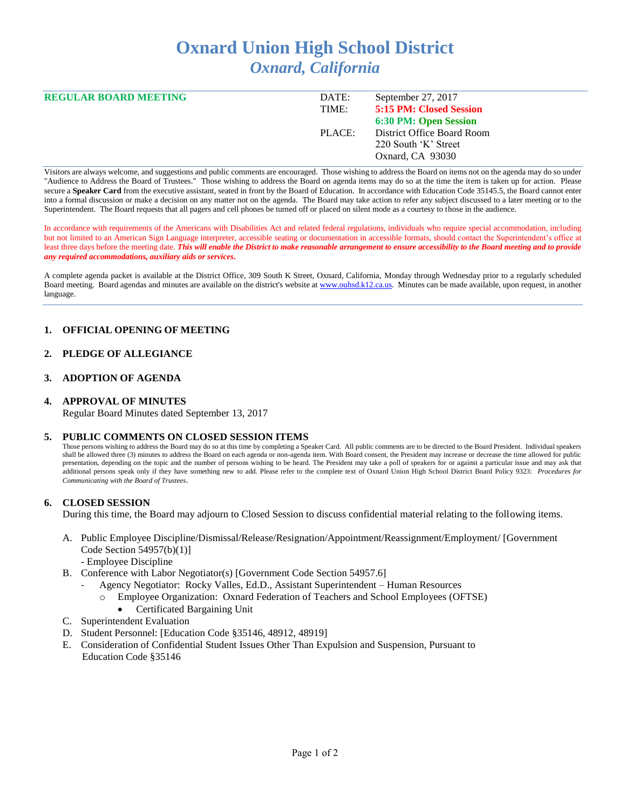# **Oxnard Union High School District** *Oxnard, California*

| <b>REGULAR BOARD MEETING</b> | DATE:<br>TIME: | September 27, 2017<br><b>5:15 PM: Closed Session</b> |
|------------------------------|----------------|------------------------------------------------------|
|                              |                | 6:30 PM: Open Session                                |
|                              | PLACE:         | District Office Board Room                           |
|                              |                | 220 South 'K' Street                                 |
|                              |                | Oxnard, CA 93030                                     |

Visitors are always welcome, and suggestions and public comments are encouraged. Those wishing to address the Board on items not on the agenda may do so under "Audience to Address the Board of Trustees." Those wishing to address the Board on agenda items may do so at the time the item is taken up for action. Please secure a Speaker Card from the executive assistant, seated in front by the Board of Education. In accordance with Education Code 35145.5, the Board cannot enter into a formal discussion or make a decision on any matter not on the agenda. The Board may take action to refer any subject discussed to a later meeting or to the Superintendent. The Board requests that all pagers and cell phones be turned off or placed on silent mode as a courtesy to those in the audience.

In accordance with requirements of the Americans with Disabilities Act and related federal regulations, individuals who require special accommodation, including but not limited to an American Sign Language interpreter, accessible seating or documentation in accessible formats, should contact the Superintendent's office at least three days before the meeting date. *This will enable the District to make reasonable arrangement to ensure accessibility to the Board meeting and to provide any required accommodations, auxiliary aids or services.* 

A complete agenda packet is available at the District Office, 309 South K Street, Oxnard, California, Monday through Wednesday prior to a regularly scheduled Board meeting. Board agendas and minutes are available on the district's website a[t www.ouhsd.k12.ca.us.](http://www.ouhsd.k12.ca.us/)Minutes can be made available, upon request, in another language.

# **1. OFFICIAL OPENING OF MEETING**

## **2. PLEDGE OF ALLEGIANCE**

# **3. ADOPTION OF AGENDA**

## **4. APPROVAL OF MINUTES**

Regular Board Minutes dated September 13, 2017

## **5. PUBLIC COMMENTS ON CLOSED SESSION ITEMS**

Those persons wishing to address the Board may do so at this time by completing a Speaker Card. All public comments are to be directed to the Board President. Individual speakers shall be allowed three (3) minutes to address the Board on each agenda or non-agenda item. With Board consent, the President may increase or decrease the time allowed for public presentation, depending on the topic and the number of persons wishing to be heard. The President may take a poll of speakers for or against a particular issue and may ask that additional persons speak only if they have something new to add. Please refer to the complete text of Oxnard Union High School District Board Policy 9323: *Procedures for Communicating with the Board of Trustees*.

## **6. CLOSED SESSION**

During this time, the Board may adjourn to Closed Session to discuss confidential material relating to the following items.

- A. Public Employee Discipline/Dismissal/Release/Resignation/Appointment/Reassignment/Employment/ [Government Code Section 54957(b)(1)]
	- Employee Discipline
- B. Conference with Labor Negotiator(s) [Government Code Section 54957.6]
	- Agency Negotiator: Rocky Valles, Ed.D., Assistant Superintendent Human Resources
	- o Employee Organization: Oxnard Federation of Teachers and School Employees (OFTSE)
	- Certificated Bargaining Unit
- C. Superintendent Evaluation
- D. Student Personnel: [Education Code §35146, 48912, 48919]
- E. Consideration of Confidential Student Issues Other Than Expulsion and Suspension, Pursuant to Education Code §35146